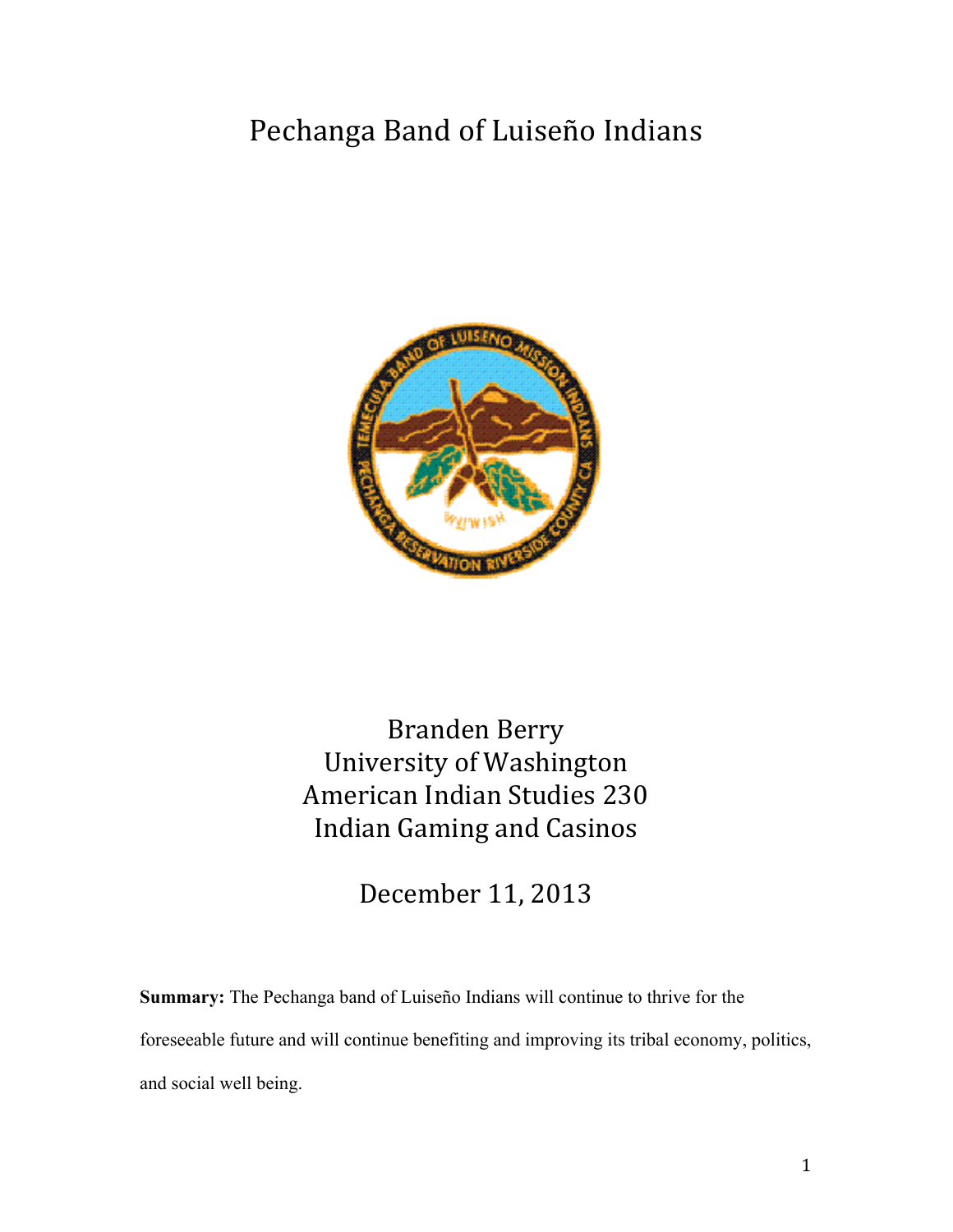# Pechanga Band of Luiseño Indians



Branden Berry University of Washington American Indian Studies 230 Indian Gaming and Casinos

December 11, 2013

**Summary:** The Pechanga band of Luiseño Indians will continue to thrive for the foreseeable future and will continue benefiting and improving its tribal economy, politics, and social well being.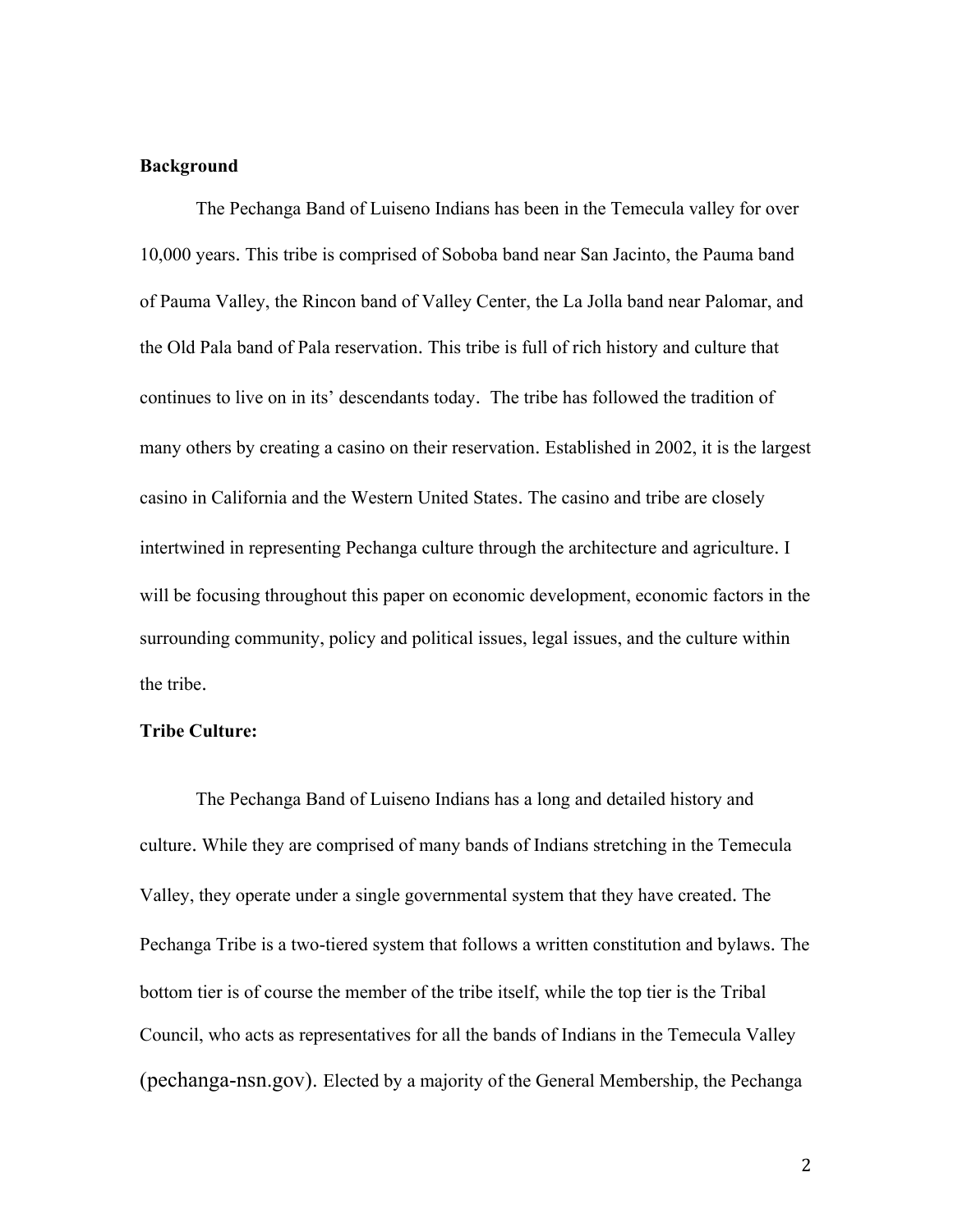#### **Background**

The Pechanga Band of Luiseno Indians has been in the Temecula valley for over 10,000 years. This tribe is comprised of Soboba band near San Jacinto, the Pauma band of Pauma Valley, the Rincon band of Valley Center, the La Jolla band near Palomar, and the Old Pala band of Pala reservation. This tribe is full of rich history and culture that continues to live on in its' descendants today. The tribe has followed the tradition of many others by creating a casino on their reservation. Established in 2002, it is the largest casino in California and the Western United States. The casino and tribe are closely intertwined in representing Pechanga culture through the architecture and agriculture. I will be focusing throughout this paper on economic development, economic factors in the surrounding community, policy and political issues, legal issues, and the culture within the tribe.

#### **Tribe Culture:**

The Pechanga Band of Luiseno Indians has a long and detailed history and culture. While they are comprised of many bands of Indians stretching in the Temecula Valley, they operate under a single governmental system that they have created. The Pechanga Tribe is a two-tiered system that follows a written constitution and bylaws. The bottom tier is of course the member of the tribe itself, while the top tier is the Tribal Council, who acts as representatives for all the bands of Indians in the Temecula Valley (pechanga-nsn.gov). Elected by a majority of the General Membership, the Pechanga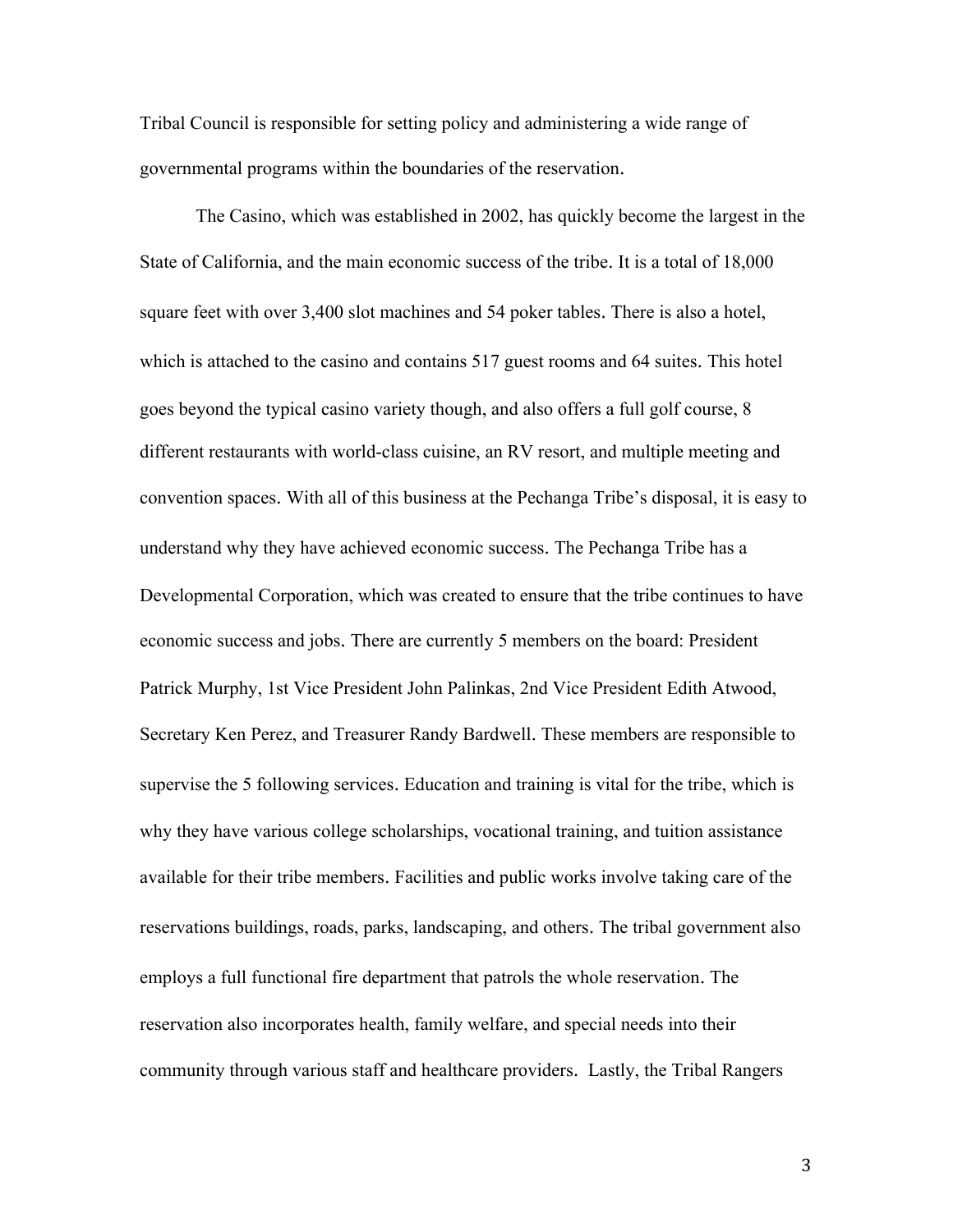Tribal Council is responsible for setting policy and administering a wide range of governmental programs within the boundaries of the reservation.

The Casino, which was established in 2002, has quickly become the largest in the State of California, and the main economic success of the tribe. It is a total of 18,000 square feet with over 3,400 slot machines and 54 poker tables. There is also a hotel, which is attached to the casino and contains 517 guest rooms and 64 suites. This hotel goes beyond the typical casino variety though, and also offers a full golf course, 8 different restaurants with world-class cuisine, an RV resort, and multiple meeting and convention spaces. With all of this business at the Pechanga Tribe's disposal, it is easy to understand why they have achieved economic success. The Pechanga Tribe has a Developmental Corporation, which was created to ensure that the tribe continues to have economic success and jobs. There are currently 5 members on the board: President Patrick Murphy, 1st Vice President John Palinkas, 2nd Vice President Edith Atwood, Secretary Ken Perez, and Treasurer Randy Bardwell. These members are responsible to supervise the 5 following services. Education and training is vital for the tribe, which is why they have various college scholarships, vocational training, and tuition assistance available for their tribe members. Facilities and public works involve taking care of the reservations buildings, roads, parks, landscaping, and others. The tribal government also employs a full functional fire department that patrols the whole reservation. The reservation also incorporates health, family welfare, and special needs into their community through various staff and healthcare providers. Lastly, the Tribal Rangers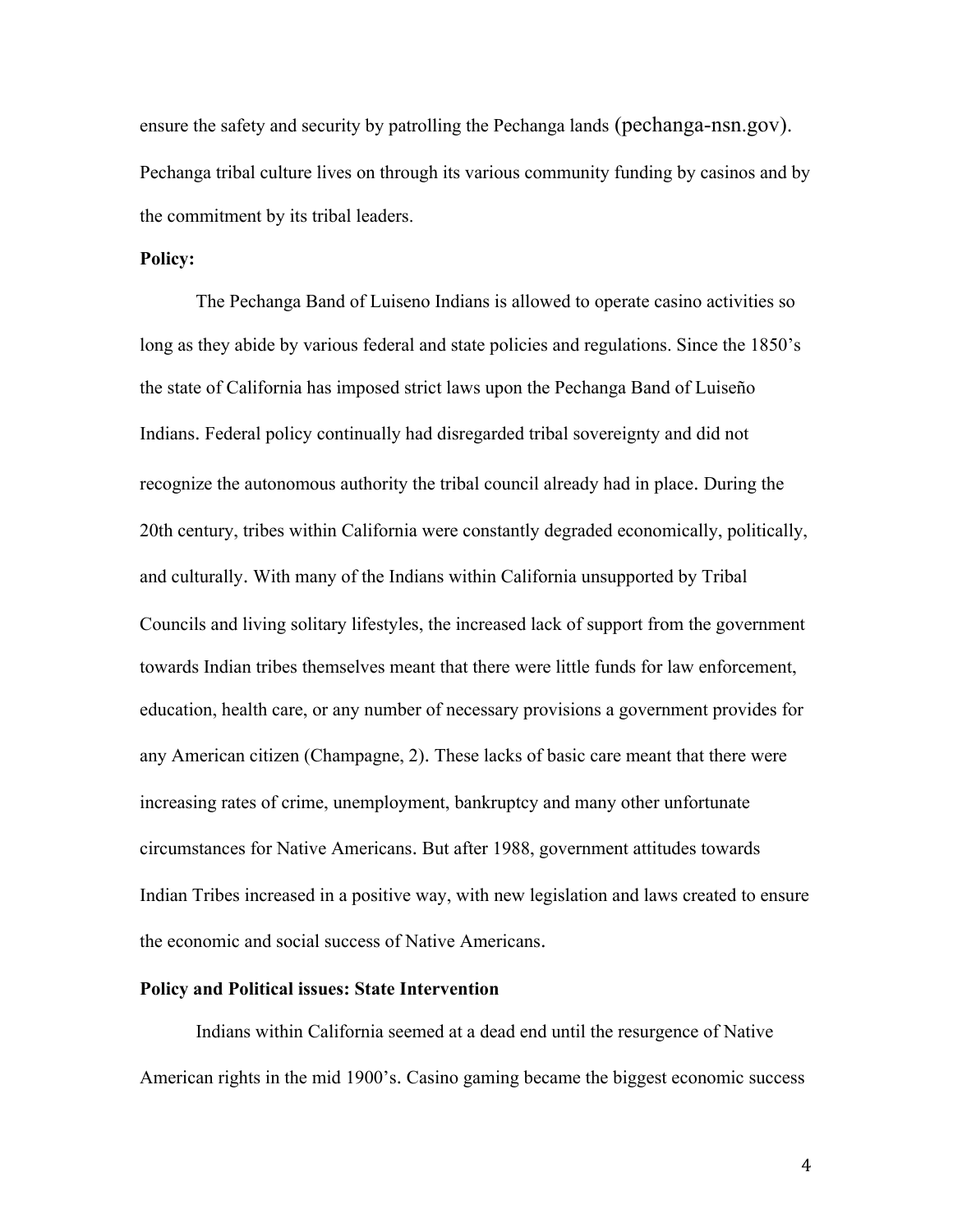ensure the safety and security by patrolling the Pechanga lands (pechanga-nsn.gov). Pechanga tribal culture lives on through its various community funding by casinos and by the commitment by its tribal leaders.

## **Policy:**

The Pechanga Band of Luiseno Indians is allowed to operate casino activities so long as they abide by various federal and state policies and regulations. Since the 1850's the state of California has imposed strict laws upon the Pechanga Band of Luiseño Indians. Federal policy continually had disregarded tribal sovereignty and did not recognize the autonomous authority the tribal council already had in place. During the 20th century, tribes within California were constantly degraded economically, politically, and culturally. With many of the Indians within California unsupported by Tribal Councils and living solitary lifestyles, the increased lack of support from the government towards Indian tribes themselves meant that there were little funds for law enforcement, education, health care, or any number of necessary provisions a government provides for any American citizen (Champagne, 2). These lacks of basic care meant that there were increasing rates of crime, unemployment, bankruptcy and many other unfortunate circumstances for Native Americans. But after 1988, government attitudes towards Indian Tribes increased in a positive way, with new legislation and laws created to ensure the economic and social success of Native Americans.

## **Policy and Political issues: State Intervention**

Indians within California seemed at a dead end until the resurgence of Native American rights in the mid 1900's. Casino gaming became the biggest economic success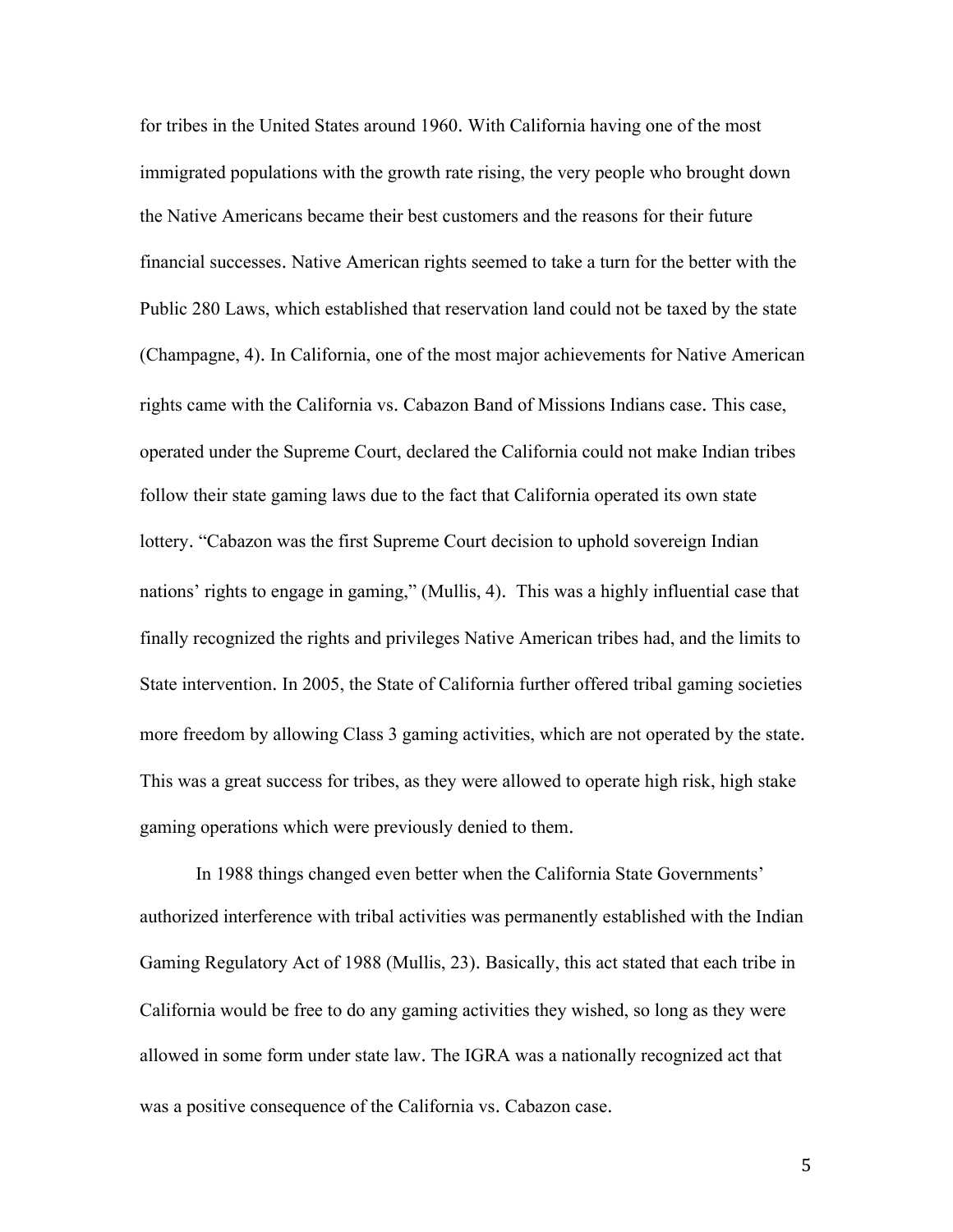for tribes in the United States around 1960. With California having one of the most immigrated populations with the growth rate rising, the very people who brought down the Native Americans became their best customers and the reasons for their future financial successes. Native American rights seemed to take a turn for the better with the Public 280 Laws, which established that reservation land could not be taxed by the state (Champagne, 4). In California, one of the most major achievements for Native American rights came with the California vs. Cabazon Band of Missions Indians case. This case, operated under the Supreme Court, declared the California could not make Indian tribes follow their state gaming laws due to the fact that California operated its own state lottery. "Cabazon was the first Supreme Court decision to uphold sovereign Indian nations' rights to engage in gaming," (Mullis, 4). This was a highly influential case that finally recognized the rights and privileges Native American tribes had, and the limits to State intervention. In 2005, the State of California further offered tribal gaming societies more freedom by allowing Class 3 gaming activities, which are not operated by the state. This was a great success for tribes, as they were allowed to operate high risk, high stake gaming operations which were previously denied to them.

In 1988 things changed even better when the California State Governments' authorized interference with tribal activities was permanently established with the Indian Gaming Regulatory Act of 1988 (Mullis, 23). Basically, this act stated that each tribe in California would be free to do any gaming activities they wished, so long as they were allowed in some form under state law. The IGRA was a nationally recognized act that was a positive consequence of the California vs. Cabazon case.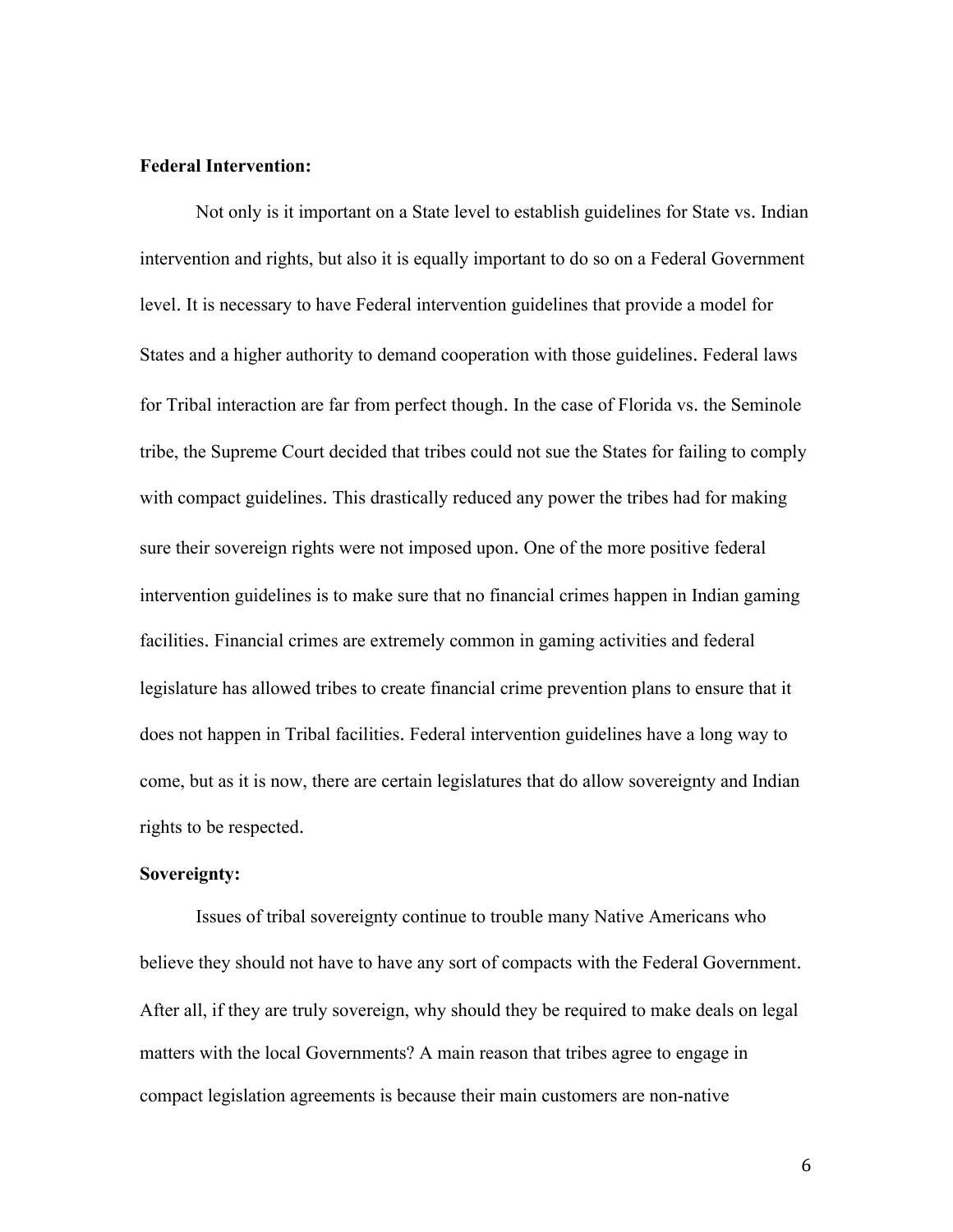## **Federal Intervention:**

Not only is it important on a State level to establish guidelines for State vs. Indian intervention and rights, but also it is equally important to do so on a Federal Government level. It is necessary to have Federal intervention guidelines that provide a model for States and a higher authority to demand cooperation with those guidelines. Federal laws for Tribal interaction are far from perfect though. In the case of Florida vs. the Seminole tribe, the Supreme Court decided that tribes could not sue the States for failing to comply with compact guidelines. This drastically reduced any power the tribes had for making sure their sovereign rights were not imposed upon. One of the more positive federal intervention guidelines is to make sure that no financial crimes happen in Indian gaming facilities. Financial crimes are extremely common in gaming activities and federal legislature has allowed tribes to create financial crime prevention plans to ensure that it does not happen in Tribal facilities. Federal intervention guidelines have a long way to come, but as it is now, there are certain legislatures that do allow sovereignty and Indian rights to be respected.

# **Sovereignty:**

Issues of tribal sovereignty continue to trouble many Native Americans who believe they should not have to have any sort of compacts with the Federal Government. After all, if they are truly sovereign, why should they be required to make deals on legal matters with the local Governments? A main reason that tribes agree to engage in compact legislation agreements is because their main customers are non-native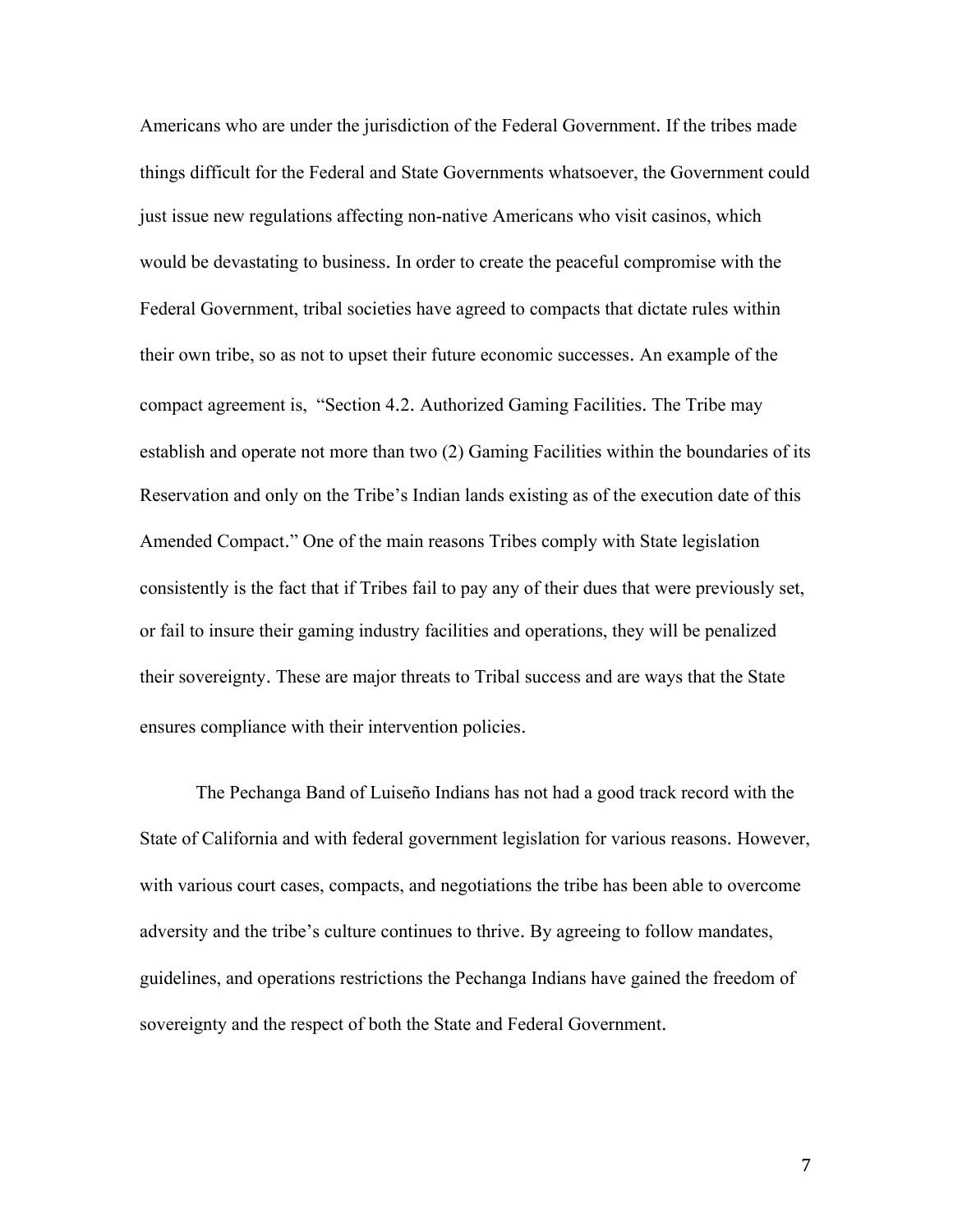Americans who are under the jurisdiction of the Federal Government. If the tribes made things difficult for the Federal and State Governments whatsoever, the Government could just issue new regulations affecting non-native Americans who visit casinos, which would be devastating to business. In order to create the peaceful compromise with the Federal Government, tribal societies have agreed to compacts that dictate rules within their own tribe, so as not to upset their future economic successes. An example of the compact agreement is, "Section 4.2. Authorized Gaming Facilities. The Tribe may establish and operate not more than two (2) Gaming Facilities within the boundaries of its Reservation and only on the Tribe's Indian lands existing as of the execution date of this Amended Compact." One of the main reasons Tribes comply with State legislation consistently is the fact that if Tribes fail to pay any of their dues that were previously set, or fail to insure their gaming industry facilities and operations, they will be penalized their sovereignty. These are major threats to Tribal success and are ways that the State ensures compliance with their intervention policies.

The Pechanga Band of Luiseño Indians has not had a good track record with the State of California and with federal government legislation for various reasons. However, with various court cases, compacts, and negotiations the tribe has been able to overcome adversity and the tribe's culture continues to thrive. By agreeing to follow mandates, guidelines, and operations restrictions the Pechanga Indians have gained the freedom of sovereignty and the respect of both the State and Federal Government.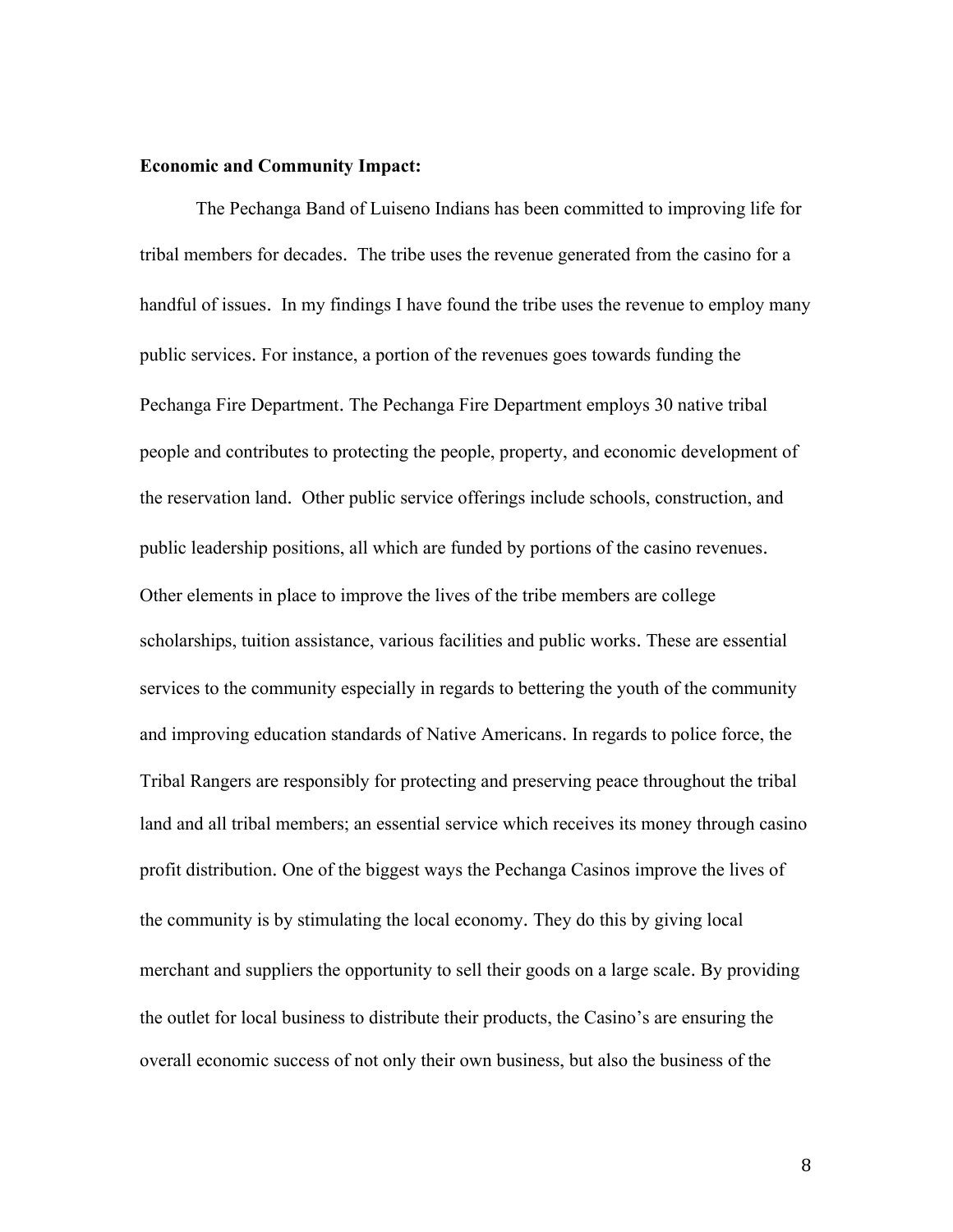#### **Economic and Community Impact:**

The Pechanga Band of Luiseno Indians has been committed to improving life for tribal members for decades. The tribe uses the revenue generated from the casino for a handful of issues. In my findings I have found the tribe uses the revenue to employ many public services. For instance, a portion of the revenues goes towards funding the Pechanga Fire Department. The Pechanga Fire Department employs 30 native tribal people and contributes to protecting the people, property, and economic development of the reservation land. Other public service offerings include schools, construction, and public leadership positions, all which are funded by portions of the casino revenues. Other elements in place to improve the lives of the tribe members are college scholarships, tuition assistance, various facilities and public works. These are essential services to the community especially in regards to bettering the youth of the community and improving education standards of Native Americans. In regards to police force, the Tribal Rangers are responsibly for protecting and preserving peace throughout the tribal land and all tribal members; an essential service which receives its money through casino profit distribution. One of the biggest ways the Pechanga Casinos improve the lives of the community is by stimulating the local economy. They do this by giving local merchant and suppliers the opportunity to sell their goods on a large scale. By providing the outlet for local business to distribute their products, the Casino's are ensuring the overall economic success of not only their own business, but also the business of the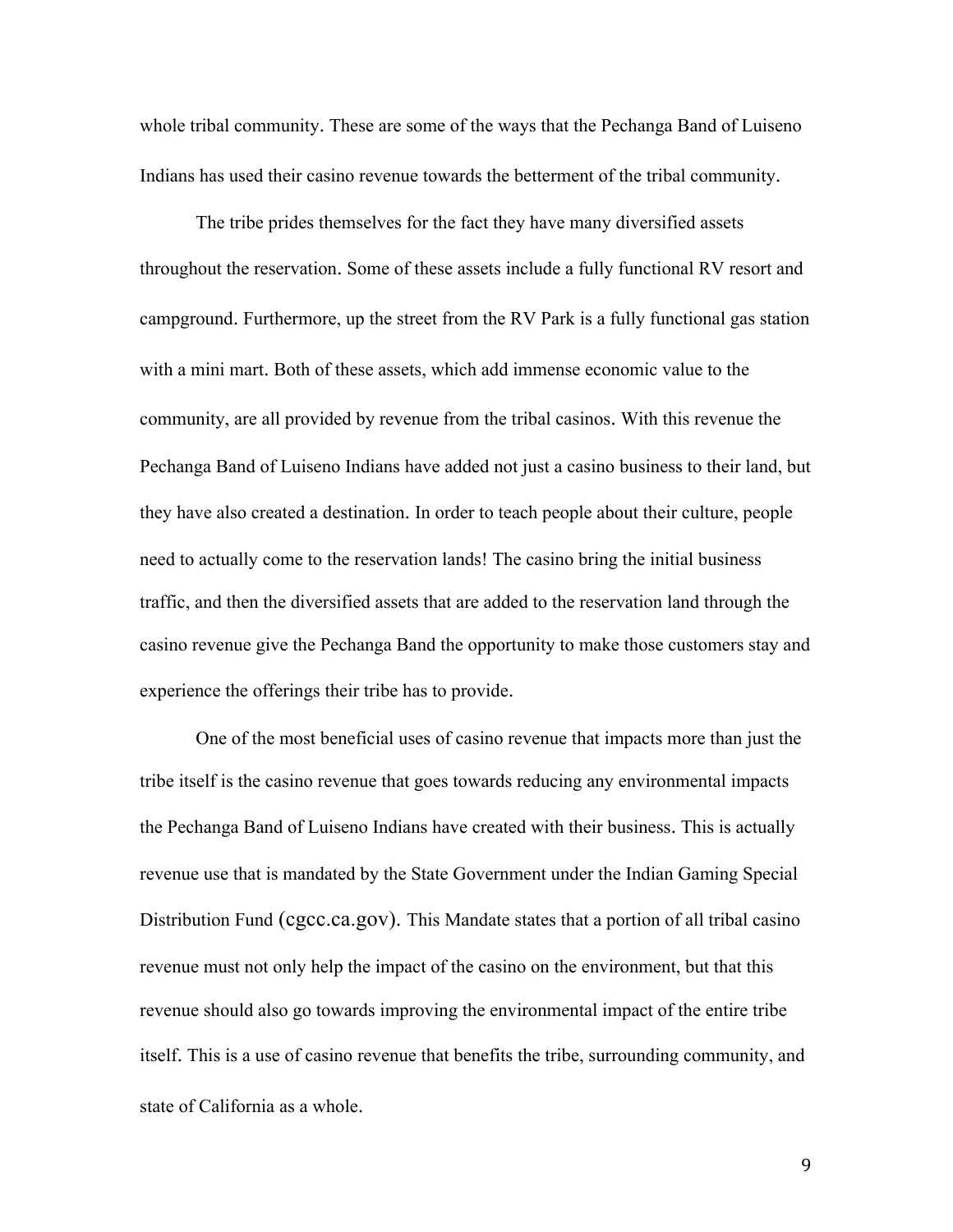whole tribal community. These are some of the ways that the Pechanga Band of Luiseno Indians has used their casino revenue towards the betterment of the tribal community.

The tribe prides themselves for the fact they have many diversified assets throughout the reservation. Some of these assets include a fully functional RV resort and campground. Furthermore, up the street from the RV Park is a fully functional gas station with a mini mart. Both of these assets, which add immense economic value to the community, are all provided by revenue from the tribal casinos. With this revenue the Pechanga Band of Luiseno Indians have added not just a casino business to their land, but they have also created a destination. In order to teach people about their culture, people need to actually come to the reservation lands! The casino bring the initial business traffic, and then the diversified assets that are added to the reservation land through the casino revenue give the Pechanga Band the opportunity to make those customers stay and experience the offerings their tribe has to provide.

One of the most beneficial uses of casino revenue that impacts more than just the tribe itself is the casino revenue that goes towards reducing any environmental impacts the Pechanga Band of Luiseno Indians have created with their business. This is actually revenue use that is mandated by the State Government under the Indian Gaming Special Distribution Fund (cgcc.ca.gov). This Mandate states that a portion of all tribal casino revenue must not only help the impact of the casino on the environment, but that this revenue should also go towards improving the environmental impact of the entire tribe itself. This is a use of casino revenue that benefits the tribe, surrounding community, and state of California as a whole.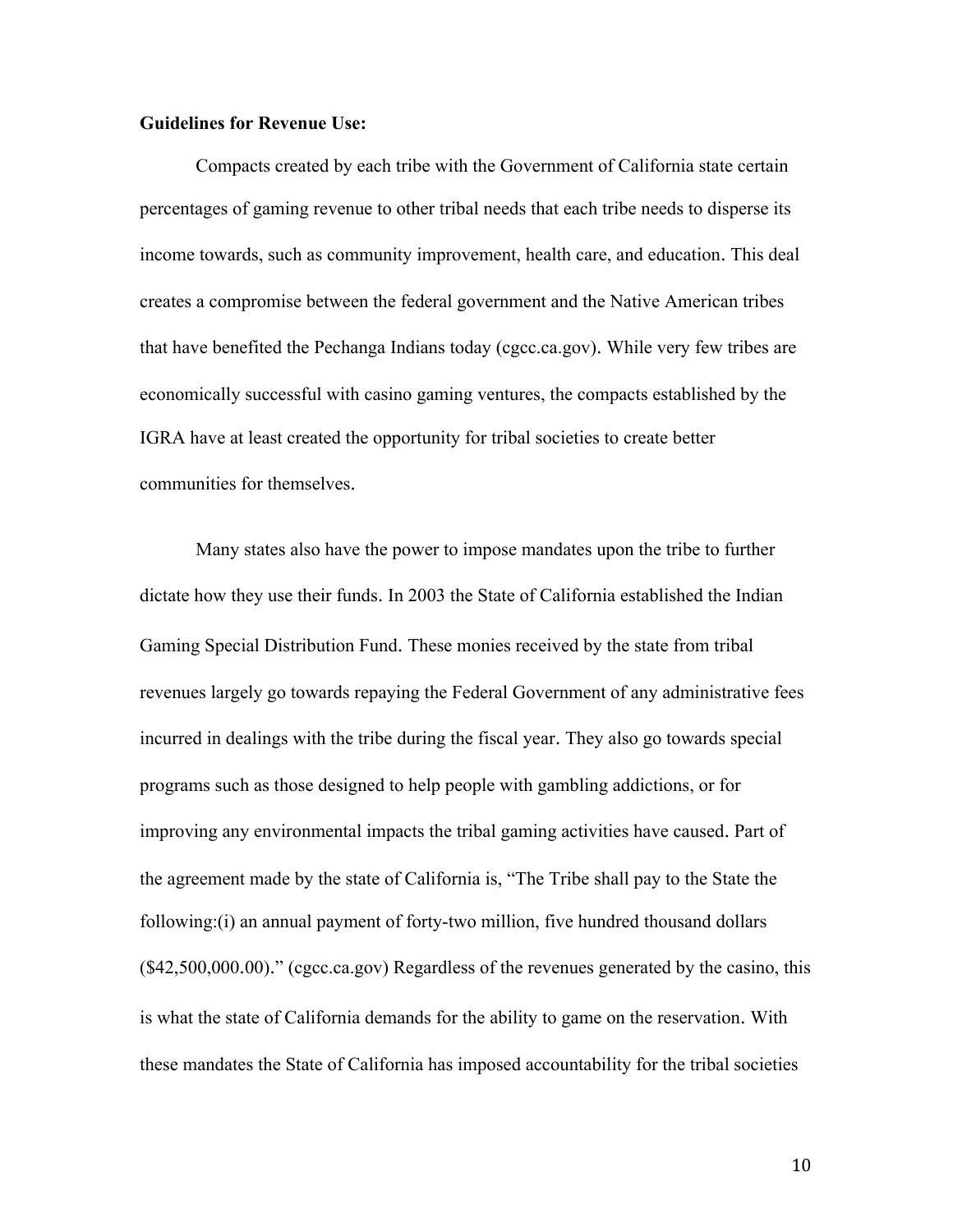## **Guidelines for Revenue Use:**

Compacts created by each tribe with the Government of California state certain percentages of gaming revenue to other tribal needs that each tribe needs to disperse its income towards, such as community improvement, health care, and education. This deal creates a compromise between the federal government and the Native American tribes that have benefited the Pechanga Indians today (cgcc.ca.gov). While very few tribes are economically successful with casino gaming ventures, the compacts established by the IGRA have at least created the opportunity for tribal societies to create better communities for themselves.

Many states also have the power to impose mandates upon the tribe to further dictate how they use their funds. In 2003 the State of California established the Indian Gaming Special Distribution Fund. These monies received by the state from tribal revenues largely go towards repaying the Federal Government of any administrative fees incurred in dealings with the tribe during the fiscal year. They also go towards special programs such as those designed to help people with gambling addictions, or for improving any environmental impacts the tribal gaming activities have caused. Part of the agreement made by the state of California is, "The Tribe shall pay to the State the following:(i) an annual payment of forty-two million, five hundred thousand dollars (\$42,500,000.00)." (cgcc.ca.gov) Regardless of the revenues generated by the casino, this is what the state of California demands for the ability to game on the reservation. With these mandates the State of California has imposed accountability for the tribal societies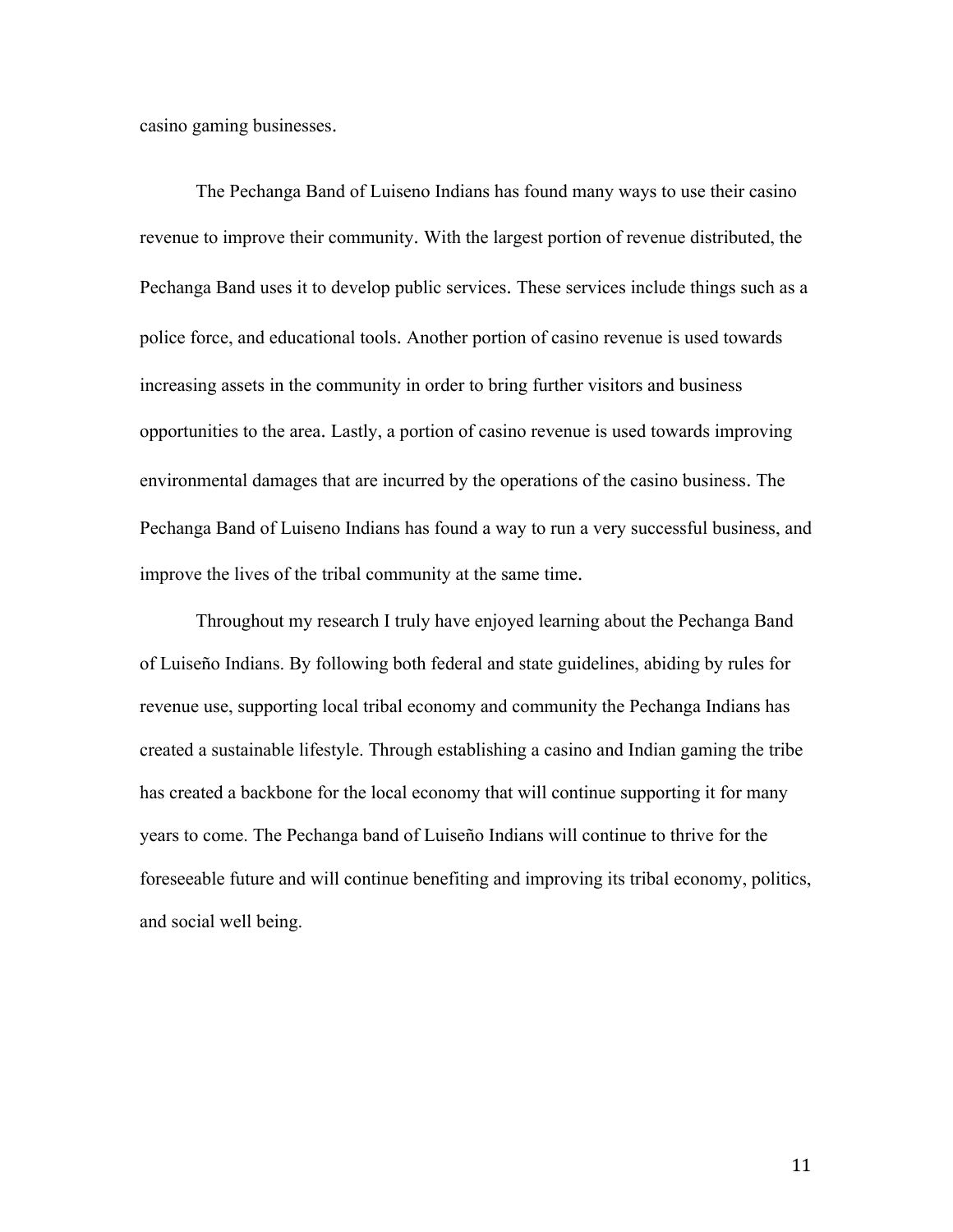casino gaming businesses.

The Pechanga Band of Luiseno Indians has found many ways to use their casino revenue to improve their community. With the largest portion of revenue distributed, the Pechanga Band uses it to develop public services. These services include things such as a police force, and educational tools. Another portion of casino revenue is used towards increasing assets in the community in order to bring further visitors and business opportunities to the area. Lastly, a portion of casino revenue is used towards improving environmental damages that are incurred by the operations of the casino business. The Pechanga Band of Luiseno Indians has found a way to run a very successful business, and improve the lives of the tribal community at the same time.

Throughout my research I truly have enjoyed learning about the Pechanga Band of Luiseño Indians. By following both federal and state guidelines, abiding by rules for revenue use, supporting local tribal economy and community the Pechanga Indians has created a sustainable lifestyle. Through establishing a casino and Indian gaming the tribe has created a backbone for the local economy that will continue supporting it for many years to come. The Pechanga band of Luiseño Indians will continue to thrive for the foreseeable future and will continue benefiting and improving its tribal economy, politics, and social well being.